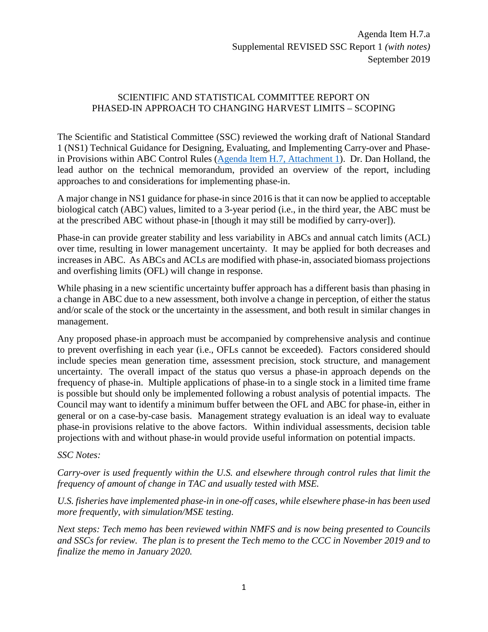## SCIENTIFIC AND STATISTICAL COMMITTEE REPORT ON PHASED-IN APPROACH TO CHANGING HARVEST LIMITS – SCOPING

The Scientific and Statistical Committee (SSC) reviewed the working draft of National Standard 1 (NS1) Technical Guidance for Designing, Evaluating, and Implementing Carry-over and Phasein Provisions within ABC Control Rules [\(Agenda Item H.7, Attachment 1\)](https://www.pcouncil.org/wp-content/uploads/2019/08/H7_Att1_DRAFT-Carry-over-and-phase-in_SEPT2019BB.pdf). Dr. Dan Holland, the lead author on the technical memorandum, provided an overview of the report, including approaches to and considerations for implementing phase-in.

A major change in NS1 guidance for phase-in since 2016 is that it can now be applied to acceptable biological catch (ABC) values, limited to a 3-year period (i.e., in the third year, the ABC must be at the prescribed ABC without phase-in [though it may still be modified by carry-over]).

Phase-in can provide greater stability and less variability in ABCs and annual catch limits (ACL) over time, resulting in lower management uncertainty. It may be applied for both decreases and increases in ABC. As ABCs and ACLs are modified with phase-in, associated biomass projections and overfishing limits (OFL) will change in response.

While phasing in a new scientific uncertainty buffer approach has a different basis than phasing in a change in ABC due to a new assessment, both involve a change in perception, of either the status and/or scale of the stock or the uncertainty in the assessment, and both result in similar changes in management.

Any proposed phase-in approach must be accompanied by comprehensive analysis and continue to prevent overfishing in each year (i.e., OFLs cannot be exceeded). Factors considered should include species mean generation time, assessment precision, stock structure, and management uncertainty. The overall impact of the status quo versus a phase-in approach depends on the frequency of phase-in. Multiple applications of phase-in to a single stock in a limited time frame is possible but should only be implemented following a robust analysis of potential impacts. The Council may want to identify a minimum buffer between the OFL and ABC for phase-in, either in general or on a case-by-case basis. Management strategy evaluation is an ideal way to evaluate phase-in provisions relative to the above factors. Within individual assessments, decision table projections with and without phase-in would provide useful information on potential impacts.

## *SSC Notes:*

*Carry-over is used frequently within the U.S. and elsewhere through control rules that limit the frequency of amount of change in TAC and usually tested with MSE.*

*U.S. fisheries have implemented phase-in in one-off cases, while elsewhere phase-in has been used more frequently, with simulation/MSE testing.*

*Next steps: Tech memo has been reviewed within NMFS and is now being presented to Councils and SSCs for review. The plan is to present the Tech memo to the CCC in November 2019 and to finalize the memo in January 2020.*